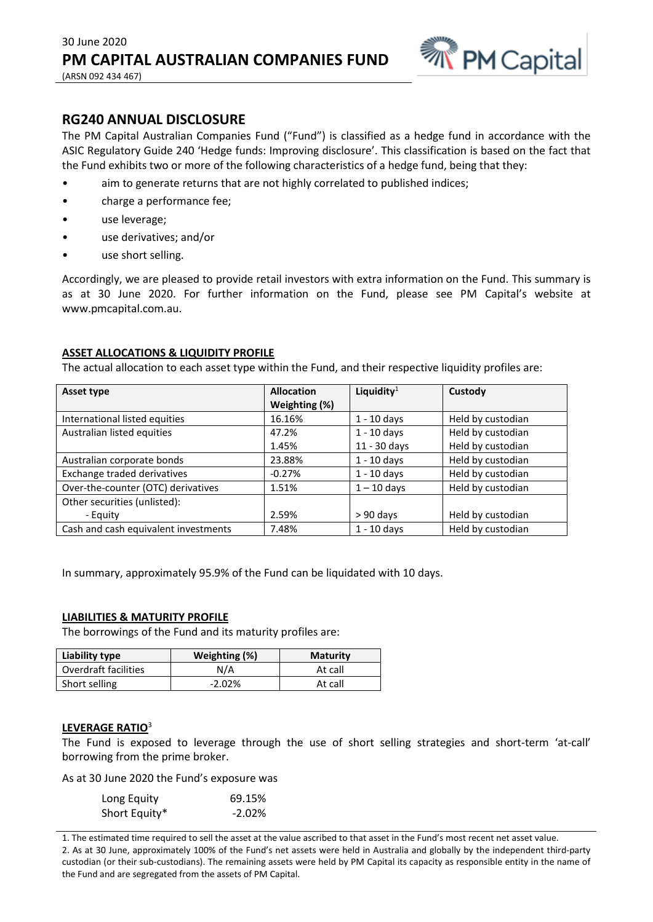

# **RG240 ANNUAL DISCLOSURE**

The PM Capital Australian Companies Fund ("Fund") is classified as a hedge fund in accordance with the ASIC Regulatory Guide 240 'Hedge funds: Improving disclosure'. This classification is based on the fact that the Fund exhibits two or more of the following characteristics of a hedge fund, being that they:

- aim to generate returns that are not highly correlated to published indices;
- charge a performance fee;
- use leverage;
- use derivatives; and/or
- use short selling.

Accordingly, we are pleased to provide retail investors with extra information on the Fund. This summary is as at 30 June 2020. For further information on the Fund, please see PM Capital's website at www.pmcapital.com.au.

## **ASSET ALLOCATIONS & LIQUIDITY PROFILE**

The actual allocation to each asset type within the Fund, and their respective liquidity profiles are:

| Asset type                           | <b>Allocation</b> | Liquidity <sup>1</sup> | Custody           |
|--------------------------------------|-------------------|------------------------|-------------------|
|                                      | Weighting (%)     |                        |                   |
| International listed equities        | 16.16%            | $1 - 10$ days          | Held by custodian |
| Australian listed equities           | 47.2%             | $1 - 10$ days          | Held by custodian |
|                                      | 1.45%             | 11 - 30 days           | Held by custodian |
| Australian corporate bonds           | 23.88%            | $1 - 10$ days          | Held by custodian |
| Exchange traded derivatives          | $-0.27%$          | $1 - 10$ days          | Held by custodian |
| Over-the-counter (OTC) derivatives   | 1.51%             | $1 - 10$ days          | Held by custodian |
| Other securities (unlisted):         |                   |                        |                   |
| - Equity                             | 2.59%             | $> 90$ days            | Held by custodian |
| Cash and cash equivalent investments | 7.48%             | $1 - 10$ days          | Held by custodian |

In summary, approximately 95.9% of the Fund can be liquidated with 10 days.

## **LIABILITIES & MATURITY PROFILE**

The borrowings of the Fund and its maturity profiles are:

| Liability type       | Weighting (%) | <b>Maturity</b> |
|----------------------|---------------|-----------------|
| Overdraft facilities | N/A           | At call         |
| Short selling        | $-2.02\%$     | At call         |

#### **LEVERAGE RATIO**<sup>3</sup>

The Fund is exposed to leverage through the use of short selling strategies and short-term 'at-call' borrowing from the prime broker.

As at 30 June 2020 the Fund's exposure was

| Long Equity   | 69.15%   |
|---------------|----------|
| Short Equity* | $-2.02%$ |

1. The estimated time required to sell the asset at the value ascribed to that asset in the Fund's most recent net asset value. 2. As at 30 June, approximately 100% of the Fund's net assets were held in Australia and globally by the independent third-party custodian (or their sub-custodians). The remaining assets were held by PM Capital its capacity as responsible entity in the name of the Fund and are segregated from the assets of PM Capital.